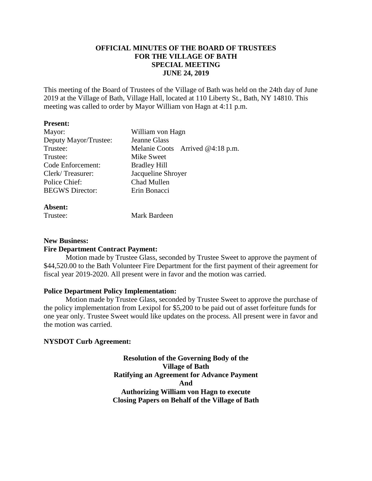# **OFFICIAL MINUTES OF THE BOARD OF TRUSTEES FOR THE VILLAGE OF BATH SPECIAL MEETING JUNE 24, 2019**

This meeting of the Board of Trustees of the Village of Bath was held on the 24th day of June 2019 at the Village of Bath, Village Hall, located at 110 Liberty St., Bath, NY 14810. This meeting was called to order by Mayor William von Hagn at 4:11 p.m.

### **Present:**

| Mayor:                 | William von Hagn                 |
|------------------------|----------------------------------|
| Deputy Mayor/Trustee:  | <b>Jeanne Glass</b>              |
| Trustee:               | Melanie Coots Arrived @4:18 p.m. |
| Trustee:               | Mike Sweet                       |
| Code Enforcement:      | <b>Bradley Hill</b>              |
| Clerk/Treasurer:       | Jacqueline Shroyer               |
| Police Chief:          | Chad Mullen                      |
| <b>BEGWS</b> Director: | Erin Bonacci                     |
|                        |                                  |

### **Absent:**

| Mark Bardeen<br>Trustee: |
|--------------------------|
|                          |

## **New Business:**

### **Fire Department Contract Payment:**

Motion made by Trustee Glass, seconded by Trustee Sweet to approve the payment of \$44,520.00 to the Bath Volunteer Fire Department for the first payment of their agreement for fiscal year 2019-2020. All present were in favor and the motion was carried.

### **Police Department Policy Implementation:**

Motion made by Trustee Glass, seconded by Trustee Sweet to approve the purchase of the policy implementation from Lexipol for \$5,200 to be paid out of asset forfeiture funds for one year only. Trustee Sweet would like updates on the process. All present were in favor and the motion was carried.

## **NYSDOT Curb Agreement:**

**Resolution of the Governing Body of the Village of Bath Ratifying an Agreement for Advance Payment And Authorizing William von Hagn to execute Closing Papers on Behalf of the Village of Bath**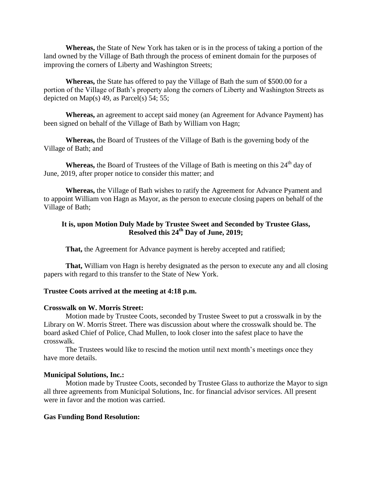**Whereas,** the State of New York has taken or is in the process of taking a portion of the land owned by the Village of Bath through the process of eminent domain for the purposes of improving the corners of Liberty and Washington Streets;

**Whereas,** the State has offered to pay the Village of Bath the sum of \$500.00 for a portion of the Village of Bath's property along the corners of Liberty and Washington Streets as depicted on Map(s) 49, as Parcel(s) 54; 55;

**Whereas,** an agreement to accept said money (an Agreement for Advance Payment) has been signed on behalf of the Village of Bath by William von Hagn;

**Whereas,** the Board of Trustees of the Village of Bath is the governing body of the Village of Bath; and

**Whereas,** the Board of Trustees of the Village of Bath is meeting on this 24<sup>th</sup> day of June, 2019, after proper notice to consider this matter; and

**Whereas,** the Village of Bath wishes to ratify the Agreement for Advance Pyament and to appoint William von Hagn as Mayor, as the person to execute closing papers on behalf of the Village of Bath;

# **It is, upon Motion Duly Made by Trustee Sweet and Seconded by Trustee Glass, Resolved this 24th Day of June, 2019;**

**That,** the Agreement for Advance payment is hereby accepted and ratified;

**That,** William von Hagn is hereby designated as the person to execute any and all closing papers with regard to this transfer to the State of New York.

### **Trustee Coots arrived at the meeting at 4:18 p.m.**

#### **Crosswalk on W. Morris Street:**

Motion made by Trustee Coots, seconded by Trustee Sweet to put a crosswalk in by the Library on W. Morris Street. There was discussion about where the crosswalk should be. The board asked Chief of Police, Chad Mullen, to look closer into the safest place to have the crosswalk.

The Trustees would like to rescind the motion until next month's meetings once they have more details.

#### **Municipal Solutions, Inc.:**

Motion made by Trustee Coots, seconded by Trustee Glass to authorize the Mayor to sign all three agreements from Municipal Solutions, Inc. for financial advisor services. All present were in favor and the motion was carried.

#### **Gas Funding Bond Resolution:**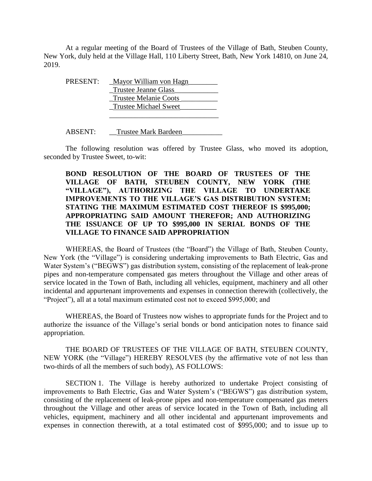At a regular meeting of the Board of Trustees of the Village of Bath, Steuben County, New York, duly held at the Village Hall, 110 Liberty Street, Bath, New York 14810, on June 24, 2019.

| PRESENT: | Mayor William von Hagn       |
|----------|------------------------------|
|          | <b>Trustee Jeanne Glass</b>  |
|          | <b>Trustee Melanie Coots</b> |
|          | <b>Trustee Michael Sweet</b> |
|          |                              |

ABSENT: Trustee Mark Bardeen

The following resolution was offered by Trustee Glass, who moved its adoption, seconded by Trustee Sweet, to-wit:

# **BOND RESOLUTION OF THE BOARD OF TRUSTEES OF THE VILLAGE OF BATH, STEUBEN COUNTY, NEW YORK (THE "VILLAGE"), AUTHORIZING THE VILLAGE TO UNDERTAKE IMPROVEMENTS TO THE VILLAGE'S GAS DISTRIBUTION SYSTEM; STATING THE MAXIMUM ESTIMATED COST THEREOF IS \$995,000; APPROPRIATING SAID AMOUNT THEREFOR; AND AUTHORIZING THE ISSUANCE OF UP TO \$995,000 IN SERIAL BONDS OF THE VILLAGE TO FINANCE SAID APPROPRIATION**

WHEREAS, the Board of Trustees (the "Board") the Village of Bath, Steuben County, New York (the "Village") is considering undertaking improvements to Bath Electric, Gas and Water System's ("BEGWS") gas distribution system, consisting of the replacement of leak-prone pipes and non-temperature compensated gas meters throughout the Village and other areas of service located in the Town of Bath, including all vehicles, equipment, machinery and all other incidental and appurtenant improvements and expenses in connection therewith (collectively, the "Project"), all at a total maximum estimated cost not to exceed \$995,000; and

WHEREAS, the Board of Trustees now wishes to appropriate funds for the Project and to authorize the issuance of the Village's serial bonds or bond anticipation notes to finance said appropriation.

THE BOARD OF TRUSTEES OF THE VILLAGE OF BATH, STEUBEN COUNTY, NEW YORK (the "Village") HEREBY RESOLVES (by the affirmative vote of not less than two-thirds of all the members of such body), AS FOLLOWS:

SECTION 1. The Village is hereby authorized to undertake Project consisting of improvements to Bath Electric, Gas and Water System's ("BEGWS") gas distribution system, consisting of the replacement of leak-prone pipes and non-temperature compensated gas meters throughout the Village and other areas of service located in the Town of Bath, including all vehicles, equipment, machinery and all other incidental and appurtenant improvements and expenses in connection therewith, at a total estimated cost of \$995,000; and to issue up to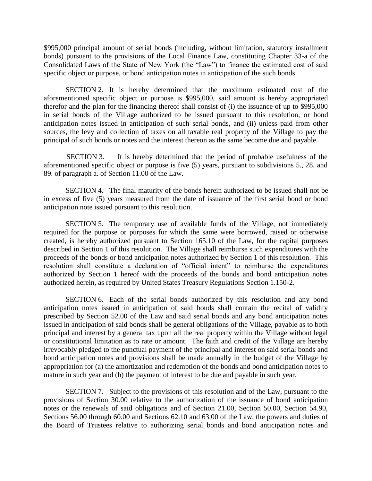\$995,000 principal amount of serial bonds (including, without limitation, statutory installment bonds) pursuant to the provisions of the Local Finance Law, constituting Chapter 33-a of the Consolidated Laws of the State of New York (the "Law") to finance the estimated cost of said specific object or purpose, or bond anticipation notes in anticipation of the such bonds.

SECTION 2. It is hereby determined that the maximum estimated cost of the aforementioned specific object or purpose is \$995,000, said amount is hereby appropriated therefor and the plan for the financing thereof shall consist of (i) the issuance of up to \$995,000 in serial bonds of the Village authorized to be issued pursuant to this resolution, or bond anticipation notes issued in anticipation of such serial bonds, and (ii) unless paid from other sources, the levy and collection of taxes on all taxable real property of the Village to pay the principal of such bonds or notes and the interest thereon as the same become due and payable.

SECTION 3. It is hereby determined that the period of probable usefulness of the aforementioned specific object or purpose is five (5) years, pursuant to subdivisions 5., 28. and 89. of paragraph a. of Section 11.00 of the Law.

SECTION 4. The final maturity of the bonds herein authorized to be issued shall not be in excess of five (5) years measured from the date of issuance of the first serial bond or bond anticipation note issued pursuant to this resolution.

SECTION 5. The temporary use of available funds of the Village, not immediately required for the purpose or purposes for which the same were borrowed, raised or otherwise created, is hereby authorized pursuant to Section 165.10 of the Law, for the capital purposes described in Section 1 of this resolution. The Village shall reimburse such expenditures with the proceeds of the bonds or bond anticipation notes authorized by Section 1 of this resolution. This resolution shall constitute a declaration of "official intent" to reimburse the expenditures authorized by Section 1 hereof with the proceeds of the bonds and bond anticipation notes authorized herein, as required by United States Treasury Regulations Section 1.150-2.

SECTION 6. Each of the serial bonds authorized by this resolution and any bond anticipation notes issued in anticipation of said bonds shall contain the recital of validity prescribed by Section 52.00 of the Law and said serial bonds and any bond anticipation notes issued in anticipation of said bonds shall be general obligations of the Village, payable as to both principal and interest by a general tax upon all the real property within the Village without legal or constitutional limitation as to rate or amount. The faith and credit of the Village are hereby irrevocably pledged to the punctual payment of the principal and interest on said serial bonds and bond anticipation notes and provisions shall be made annually in the budget of the Village by appropriation for (a) the amortization and redemption of the bonds and bond anticipation notes to mature in such year and (b) the payment of interest to be due and payable in such year.

SECTION 7. Subject to the provisions of this resolution and of the Law, pursuant to the provisions of Section 30.00 relative to the authorization of the issuance of bond anticipation notes or the renewals of said obligations and of Section 21.00, Section 50.00, Section 54.90, Sections 56.00 through 60.00 and Sections 62.10 and 63.00 of the Law, the powers and duties of the Board of Trustees relative to authorizing serial bonds and bond anticipation notes and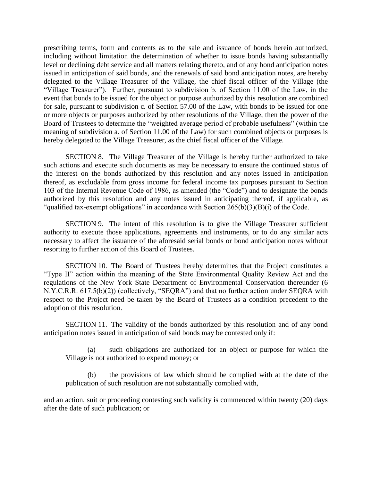prescribing terms, form and contents as to the sale and issuance of bonds herein authorized, including without limitation the determination of whether to issue bonds having substantially level or declining debt service and all matters relating thereto, and of any bond anticipation notes issued in anticipation of said bonds, and the renewals of said bond anticipation notes, are hereby delegated to the Village Treasurer of the Village, the chief fiscal officer of the Village (the "Village Treasurer"). Further, pursuant to subdivision b. of Section 11.00 of the Law, in the event that bonds to be issued for the object or purpose authorized by this resolution are combined for sale, pursuant to subdivision c. of Section 57.00 of the Law, with bonds to be issued for one or more objects or purposes authorized by other resolutions of the Village, then the power of the Board of Trustees to determine the "weighted average period of probable usefulness" (within the meaning of subdivision a. of Section 11.00 of the Law) for such combined objects or purposes is hereby delegated to the Village Treasurer, as the chief fiscal officer of the Village.

SECTION 8. The Village Treasurer of the Village is hereby further authorized to take such actions and execute such documents as may be necessary to ensure the continued status of the interest on the bonds authorized by this resolution and any notes issued in anticipation thereof, as excludable from gross income for federal income tax purposes pursuant to Section 103 of the Internal Revenue Code of 1986, as amended (the "Code") and to designate the bonds authorized by this resolution and any notes issued in anticipating thereof, if applicable, as "qualified tax-exempt obligations" in accordance with Section  $265(b)(3)(B)(i)$  of the Code.

SECTION 9. The intent of this resolution is to give the Village Treasurer sufficient authority to execute those applications, agreements and instruments, or to do any similar acts necessary to affect the issuance of the aforesaid serial bonds or bond anticipation notes without resorting to further action of this Board of Trustees.

SECTION 10. The Board of Trustees hereby determines that the Project constitutes a "Type II" action within the meaning of the State Environmental Quality Review Act and the regulations of the New York State Department of Environmental Conservation thereunder (6 N.Y.C.R.R. 617.5(b)(2)) (collectively, "SEQRA") and that no further action under SEQRA with respect to the Project need be taken by the Board of Trustees as a condition precedent to the adoption of this resolution.

SECTION 11. The validity of the bonds authorized by this resolution and of any bond anticipation notes issued in anticipation of said bonds may be contested only if:

(a) such obligations are authorized for an object or purpose for which the Village is not authorized to expend money; or

(b) the provisions of law which should be complied with at the date of the publication of such resolution are not substantially complied with,

and an action, suit or proceeding contesting such validity is commenced within twenty (20) days after the date of such publication; or